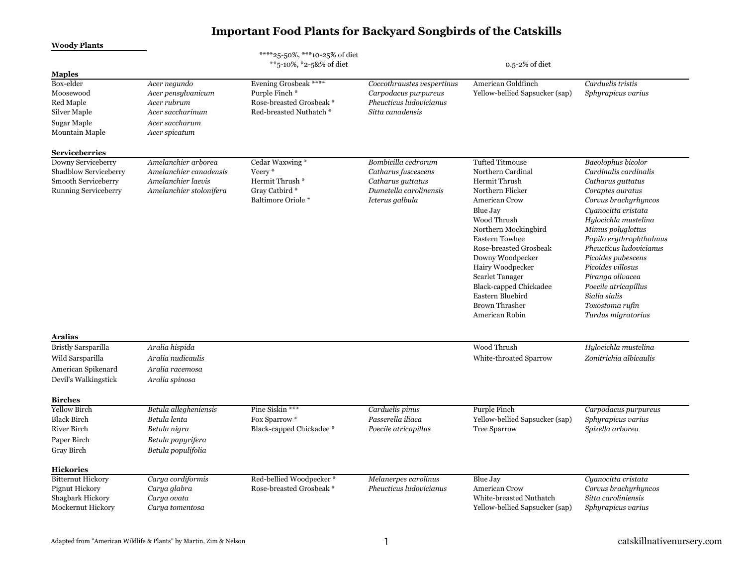| <b>Woody Plants</b>                                                                                                            |                                                                                                          | ****25-50%, ***10-25% of diet                                                                  |                                                                                                   |                                                                                                                                                                                                                                                                                                                            |                                                                                                                                                                                                                                                                                                                                          |
|--------------------------------------------------------------------------------------------------------------------------------|----------------------------------------------------------------------------------------------------------|------------------------------------------------------------------------------------------------|---------------------------------------------------------------------------------------------------|----------------------------------------------------------------------------------------------------------------------------------------------------------------------------------------------------------------------------------------------------------------------------------------------------------------------------|------------------------------------------------------------------------------------------------------------------------------------------------------------------------------------------------------------------------------------------------------------------------------------------------------------------------------------------|
|                                                                                                                                |                                                                                                          | **5-10%, *2-5&% of diet                                                                        |                                                                                                   | 0.5-2% of diet                                                                                                                                                                                                                                                                                                             |                                                                                                                                                                                                                                                                                                                                          |
| <b>Maples</b><br>Box-elder<br>Moosewood<br>Red Maple<br>Silver Maple<br>Sugar Maple<br>Mountain Maple<br><b>Serviceberries</b> | Acer negundo<br>Acer pensylvanicum<br>Acer rubrum<br>Acer saccharinum<br>Acer saccharum<br>Acer spicatum | Evening Grosbeak *****<br>Purple Finch*<br>Rose-breasted Grosbeak *<br>Red-breasted Nuthatch * | Coccothraustes vespertinus<br>Carpodacus purpureus<br>Pheucticus ludovicianus<br>Sitta canadensis | American Goldfinch<br>Yellow-bellied Sapsucker (sap)                                                                                                                                                                                                                                                                       | Carduelis tristis<br>Sphyrapicus varius                                                                                                                                                                                                                                                                                                  |
| Downy Serviceberry<br>Shadblow Serviceberry                                                                                    | Amelanchier arborea<br>Amelanchier canadensis                                                            | Cedar Waxwing *<br>Veery*                                                                      | Bombicilla cedrorum<br>Catharus fuscescens                                                        | <b>Tufted Titmouse</b><br>Northern Cardinal                                                                                                                                                                                                                                                                                | Baeolophus bicolor<br>Cardinalis cardinalis                                                                                                                                                                                                                                                                                              |
| Smooth Serviceberry<br><b>Running Serviceberry</b>                                                                             | Amelanchier laevis<br>Amelanchier stolonifera                                                            | Hermit Thrush *<br>Gray Catbird*<br><b>Baltimore Oriole *</b>                                  | Catharus guttatus<br>Dumetella carolinensis<br>Icterus galbula                                    | Hermit Thrush<br>Northern Flicker<br>American Crow<br>Blue Jay<br>Wood Thrush<br>Northern Mockingbird<br><b>Eastern Towhee</b><br>Rose-breasted Grosbeak<br>Downy Woodpecker<br>Hairy Woodpecker<br><b>Scarlet Tanager</b><br><b>Black-capped Chickadee</b><br>Eastern Bluebird<br><b>Brown Thrasher</b><br>American Robin | Catharus guttatus<br>Coraptes auratus<br>Corvus brachyrhyncos<br>Cuanocitta cristata<br>Hylocichla mustelina<br>Mimus polyglottus<br>Papilo erythrophthalmus<br>Pheucticus ludovicianus<br>Picoides pubescens<br>Picoides villosus<br>Piranga olivacea<br>Poecile atricapillus<br>Sialia sialis<br>Toxostoma rufin<br>Turdus migratorius |
| <b>Aralias</b>                                                                                                                 |                                                                                                          |                                                                                                |                                                                                                   |                                                                                                                                                                                                                                                                                                                            |                                                                                                                                                                                                                                                                                                                                          |
| <b>Bristly Sarsparilla</b><br>Wild Sarsparilla<br>American Spikenard<br>Devil's Walkingstick                                   | Aralia hispida<br>Aralia nudicaulis<br>Aralia racemosa<br>Aralia spinosa                                 |                                                                                                |                                                                                                   | Wood Thrush<br>White-throated Sparrow                                                                                                                                                                                                                                                                                      | Hylocichla mustelina<br>Zonitrichia albicaulis                                                                                                                                                                                                                                                                                           |
| <b>Birches</b>                                                                                                                 |                                                                                                          |                                                                                                |                                                                                                   |                                                                                                                                                                                                                                                                                                                            |                                                                                                                                                                                                                                                                                                                                          |
| <b>Yellow Birch</b><br><b>Black Birch</b><br>River Birch<br>Paper Birch<br>Gray Birch                                          | Betula allegheniensis<br>Betula lenta<br>Betula nigra<br>Betula papyrifera<br>Betula populifolia         | Pine Siskin ***<br>Fox Sparrow *<br>Black-capped Chickadee *                                   | Carduelis pinus<br>Passerella iliaca<br>Poecile atricapillus                                      | Purple Finch<br>Yellow-bellied Sapsucker (sap)<br><b>Tree Sparrow</b>                                                                                                                                                                                                                                                      | Carpodacus purpureus<br>Sphyrapicus varius<br>Spizella arborea                                                                                                                                                                                                                                                                           |
| <b>Hickories</b><br><b>Bitternut Hickory</b>                                                                                   | Carya cordiformis                                                                                        | Red-bellied Woodpecker*                                                                        | Melanerpes carolinus                                                                              | Blue Jay                                                                                                                                                                                                                                                                                                                   | Cyanocitta cristata                                                                                                                                                                                                                                                                                                                      |
| Pignut Hickory<br>Shagbark Hickory<br>Mockernut Hickory                                                                        | Carya glabra<br>Carya ovata<br>Carya tomentosa                                                           | Rose-breasted Grosbeak *                                                                       | Pheucticus ludovicianus                                                                           | American Crow<br>White-breasted Nuthatch<br>Yellow-bellied Sapsucker (sap)                                                                                                                                                                                                                                                 | Corvus brachurhyncos<br>Sitta caroliniensis<br>Sphyrapicus varius                                                                                                                                                                                                                                                                        |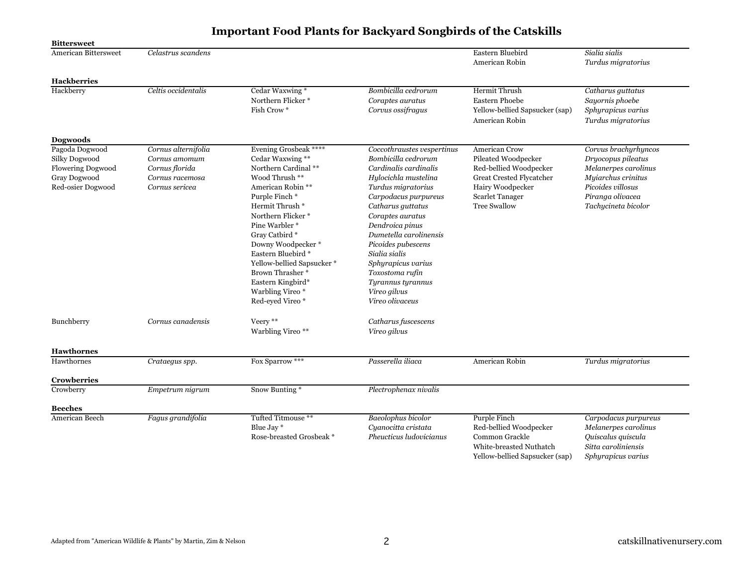| <b>Bittersweet</b>                                                                        |                                                                                             |                                                                                                                                                                                                                                                                                                                                                               |                                                                                                                                                                                                                                                                                                                                                                                |                                                                                                                                                          |                                                                                                                                                          |
|-------------------------------------------------------------------------------------------|---------------------------------------------------------------------------------------------|---------------------------------------------------------------------------------------------------------------------------------------------------------------------------------------------------------------------------------------------------------------------------------------------------------------------------------------------------------------|--------------------------------------------------------------------------------------------------------------------------------------------------------------------------------------------------------------------------------------------------------------------------------------------------------------------------------------------------------------------------------|----------------------------------------------------------------------------------------------------------------------------------------------------------|----------------------------------------------------------------------------------------------------------------------------------------------------------|
| <b>American Bittersweet</b>                                                               | Celastrus scandens                                                                          |                                                                                                                                                                                                                                                                                                                                                               |                                                                                                                                                                                                                                                                                                                                                                                | Eastern Bluebird<br>American Robin                                                                                                                       | Sialia sialis<br>Turdus migratorius                                                                                                                      |
| <b>Hackberries</b>                                                                        |                                                                                             |                                                                                                                                                                                                                                                                                                                                                               |                                                                                                                                                                                                                                                                                                                                                                                |                                                                                                                                                          |                                                                                                                                                          |
| Hackberry                                                                                 | Celtis occidentalis                                                                         | Cedar Waxwing*<br>Northern Flicker <sup>*</sup><br>Fish Crow <sup>*</sup>                                                                                                                                                                                                                                                                                     | Bombicilla cedrorum<br>Coraptes auratus<br>Corvus ossifragus                                                                                                                                                                                                                                                                                                                   | Hermit Thrush<br><b>Eastern Phoebe</b><br>Yellow-bellied Sapsucker (sap)<br>American Robin                                                               | Catharus guttatus<br>Sayornis phoebe<br>Sphyrapicus varius<br>Turdus migratorius                                                                         |
| Dogwoods                                                                                  |                                                                                             |                                                                                                                                                                                                                                                                                                                                                               |                                                                                                                                                                                                                                                                                                                                                                                |                                                                                                                                                          |                                                                                                                                                          |
| Pagoda Dogwood<br>Silky Dogwood<br>Flowering Dogwood<br>Gray Dogwood<br>Red-osier Dogwood | Cornus alternifolia<br>Cornus amomum<br>Cornus florida<br>Cornus racemosa<br>Cornus sericea | Evening Grosbeak ****<br>Cedar Waxwing **<br>Northern Cardinal **<br>Wood Thrush **<br>American Robin **<br>Purple Finch*<br>Hermit Thrush *<br>Northern Flicker*<br>Pine Warbler *<br>Gray Catbird *<br>Downy Woodpecker*<br>Eastern Bluebird *<br>Yellow-bellied Sapsucker*<br>Brown Thrasher *<br>Eastern Kingbird*<br>Warbling Vireo *<br>Red-eyed Vireo* | Coccothraustes vespertinus<br>Bombicilla cedrorum<br>Cardinalis cardinalis<br>Hylocichla mustelina<br>Turdus migratorius<br>Carpodacus purpureus<br>Catharus guttatus<br>Coraptes auratus<br>Dendroica pinus<br>Dumetella carolinensis<br>Picoides pubescens<br>Sialia sialis<br>Sphyrapicus varius<br>Toxostoma rufin<br>Tyrannus tyrannus<br>Vireo gilvus<br>Vireo olivaceus | American Crow<br>Pileated Woodpecker<br>Red-bellied Woodpecker<br>Great Crested Flycatcher<br>Hairy Woodpecker<br>Scarlet Tanager<br><b>Tree Swallow</b> | Corvus brachyrhyncos<br>Dryocopus pileatus<br>Melanerpes carolinus<br>Myiarchus crinitus<br>Picoides villosus<br>Piranga olivacea<br>Tachycineta bicolor |
| Bunchberry                                                                                | Cornus canadensis                                                                           | Veery **<br>Warbling Vireo **                                                                                                                                                                                                                                                                                                                                 | Catharus fuscescens<br>Vireo gilvus                                                                                                                                                                                                                                                                                                                                            |                                                                                                                                                          |                                                                                                                                                          |
| <b>Hawthornes</b>                                                                         |                                                                                             |                                                                                                                                                                                                                                                                                                                                                               |                                                                                                                                                                                                                                                                                                                                                                                |                                                                                                                                                          |                                                                                                                                                          |
| Hawthornes                                                                                | Crataegus spp.                                                                              | Fox Sparrow ***                                                                                                                                                                                                                                                                                                                                               | Passerella iliaca                                                                                                                                                                                                                                                                                                                                                              | American Robin                                                                                                                                           | Turdus migratorius                                                                                                                                       |
| <b>Crowberries</b>                                                                        |                                                                                             |                                                                                                                                                                                                                                                                                                                                                               |                                                                                                                                                                                                                                                                                                                                                                                |                                                                                                                                                          |                                                                                                                                                          |
| Crowberry                                                                                 | Empetrum nigrum                                                                             | Snow Bunting*                                                                                                                                                                                                                                                                                                                                                 | Plectrophenax nivalis                                                                                                                                                                                                                                                                                                                                                          |                                                                                                                                                          |                                                                                                                                                          |
| <b>Beeches</b>                                                                            |                                                                                             |                                                                                                                                                                                                                                                                                                                                                               |                                                                                                                                                                                                                                                                                                                                                                                |                                                                                                                                                          |                                                                                                                                                          |
| American Beech                                                                            | Fagus grandifolia                                                                           | Tufted Titmouse **<br>Blue Jay *<br>Rose-breasted Grosbeak *                                                                                                                                                                                                                                                                                                  | <b>Baeolophus</b> bicolor<br>Cyanocitta cristata<br>Pheucticus ludovicianus                                                                                                                                                                                                                                                                                                    | Purple Finch<br>Red-bellied Woodpecker<br>Common Grackle<br>White-breasted Nuthatch<br>Yellow-bellied Sapsucker (sap)                                    | Carpodacus purpureus<br>Melanerpes carolinus<br>Quiscalus quiscula<br>Sitta caroliniensis<br>Sphyrapicus varius                                          |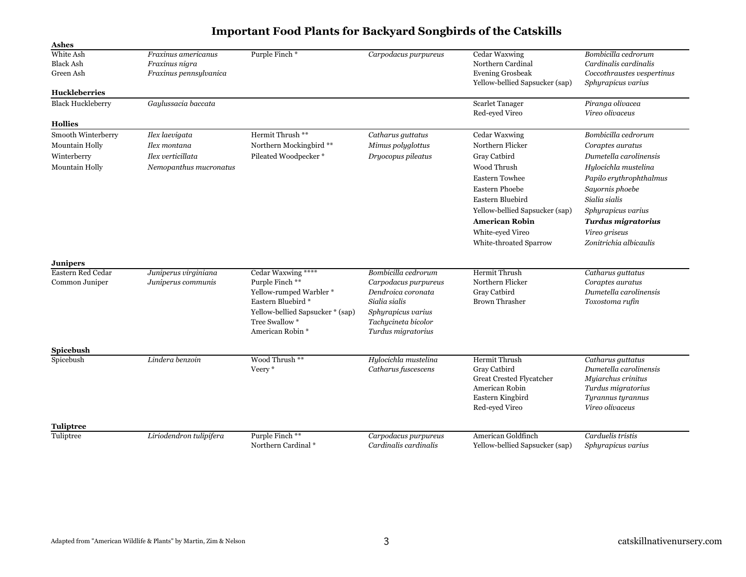| <b>Ashes</b>                                                          |                                                                               |                                                                                                                                                                 |                                                                                                                                                       |                                                                                                                                                                                                                                                 |                                                                                                                                                                                                                                                        |
|-----------------------------------------------------------------------|-------------------------------------------------------------------------------|-----------------------------------------------------------------------------------------------------------------------------------------------------------------|-------------------------------------------------------------------------------------------------------------------------------------------------------|-------------------------------------------------------------------------------------------------------------------------------------------------------------------------------------------------------------------------------------------------|--------------------------------------------------------------------------------------------------------------------------------------------------------------------------------------------------------------------------------------------------------|
| White Ash<br><b>Black Ash</b><br>Green Ash<br><b>Huckleberries</b>    | Fraxinus americanus<br>Fraxinus nigra<br>Fraxinus pennsylvanica               | Purple Finch*                                                                                                                                                   | Carpodacus purpureus                                                                                                                                  | Cedar Waxwing<br>Northern Cardinal<br><b>Evening Grosbeak</b><br>Yellow-bellied Sapsucker (sap)                                                                                                                                                 | Bombicilla cedrorum<br>Cardinalis cardinalis<br>Coccothraustes vespertinus<br>Sphyrapicus varius                                                                                                                                                       |
| <b>Black Huckleberry</b>                                              | Gaylussacia baccata                                                           |                                                                                                                                                                 |                                                                                                                                                       | Scarlet Tanager                                                                                                                                                                                                                                 | Piranga olivacea                                                                                                                                                                                                                                       |
|                                                                       |                                                                               |                                                                                                                                                                 |                                                                                                                                                       | Red-eyed Vireo                                                                                                                                                                                                                                  | Vireo olivaceus                                                                                                                                                                                                                                        |
| <b>Hollies</b>                                                        |                                                                               |                                                                                                                                                                 |                                                                                                                                                       |                                                                                                                                                                                                                                                 |                                                                                                                                                                                                                                                        |
| Smooth Winterberry<br>Mountain Holly<br>Winterberry<br>Mountain Holly | Ilex laevigata<br>Ilex montana<br>Ilex verticillata<br>Nemopanthus mucronatus | Hermit Thrush **<br>Northern Mockingbird **<br>Pileated Woodpecker*                                                                                             | Catharus guttatus<br>Mimus polyglottus<br>Dryocopus pileatus                                                                                          | Cedar Waxwing<br>Northern Flicker<br>Gray Catbird<br>Wood Thrush<br><b>Eastern Towhee</b><br><b>Eastern Phoebe</b><br>Eastern Bluebird<br>Yellow-bellied Sapsucker (sap)<br><b>American Robin</b><br>White-eved Vireo<br>White-throated Sparrow | Bombicilla cedrorum<br>Coraptes auratus<br>Dumetella carolinensis<br>Hylocichla mustelina<br>Papilo erythrophthalmus<br>Sayornis phoebe<br>Sialia sialis<br>Sphyrapicus varius<br><b>Turdus migratorius</b><br>Vireo griseus<br>Zonitrichia albicaulis |
| <b>Junipers</b>                                                       |                                                                               |                                                                                                                                                                 |                                                                                                                                                       |                                                                                                                                                                                                                                                 |                                                                                                                                                                                                                                                        |
| Eastern Red Cedar<br>Common Juniper                                   | Juniperus virginiana<br>Juniperus communis                                    | Cedar Waxwing ****<br>Purple Finch **<br>Yellow-rumped Warbler*<br>Eastern Bluebird *<br>Yellow-bellied Sapsucker * (sap)<br>Tree Swallow *<br>American Robin * | Bombicilla cedrorum<br>Carpodacus purpureus<br>Dendroica coronata<br>Sialia sialis<br>Sphyrapicus varius<br>Tachycineta bicolor<br>Turdus migratorius | <b>Hermit Thrush</b><br>Northern Flicker<br>Gray Catbird<br><b>Brown Thrasher</b>                                                                                                                                                               | Catharus guttatus<br>Coraptes auratus<br>Dumetella carolinensis<br>Toxostoma rufin                                                                                                                                                                     |
| Spicebush                                                             |                                                                               |                                                                                                                                                                 |                                                                                                                                                       |                                                                                                                                                                                                                                                 |                                                                                                                                                                                                                                                        |
| Spicebush                                                             | Lindera benzoin                                                               | Wood Thrush **<br>Veery *                                                                                                                                       | Hylocichla mustelina<br>Catharus fuscescens                                                                                                           | Hermit Thrush<br>Gray Catbird<br>Great Crested Flycatcher<br>American Robin<br>Eastern Kingbird<br>Red-eyed Vireo                                                                                                                               | Catharus guttatus<br>Dumetella carolinensis<br>Myiarchus crinitus<br>Turdus migratorius<br>Tyrannus tyrannus<br>Vireo olivaceus                                                                                                                        |
| <b>Tuliptree</b>                                                      |                                                                               |                                                                                                                                                                 |                                                                                                                                                       |                                                                                                                                                                                                                                                 |                                                                                                                                                                                                                                                        |
| Tuliptree                                                             | Liriodendron tulipifera                                                       | Purple Finch **<br>Northern Cardinal *                                                                                                                          | Carpodacus purpureus<br>Cardinalis cardinalis                                                                                                         | American Goldfinch<br>Yellow-bellied Sapsucker (sap)                                                                                                                                                                                            | Carduelis tristis<br>Sphyrapicus varius                                                                                                                                                                                                                |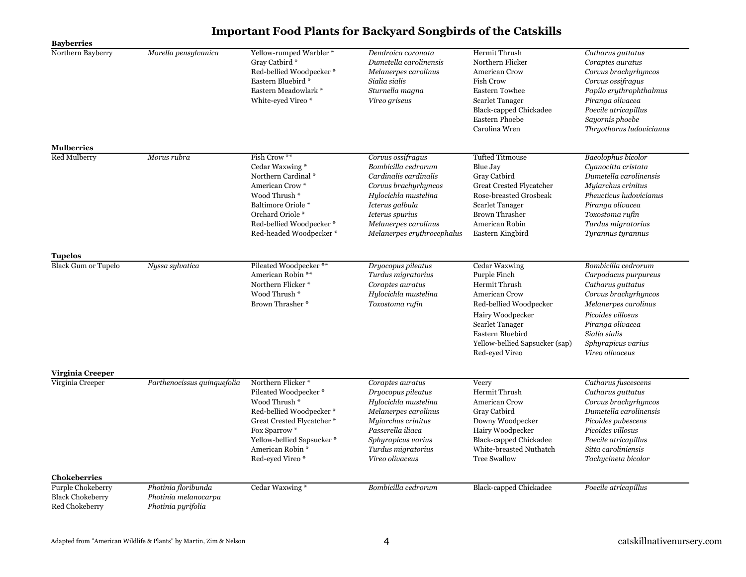| <b>Bayberries</b>                                              |                                                                   |                                                                                                                                                                                                                                 |                                                                                                                                                                                                               |                                                                                                                                                                                                                    |                                                                                                                                                                                                                     |
|----------------------------------------------------------------|-------------------------------------------------------------------|---------------------------------------------------------------------------------------------------------------------------------------------------------------------------------------------------------------------------------|---------------------------------------------------------------------------------------------------------------------------------------------------------------------------------------------------------------|--------------------------------------------------------------------------------------------------------------------------------------------------------------------------------------------------------------------|---------------------------------------------------------------------------------------------------------------------------------------------------------------------------------------------------------------------|
| Northern Bayberry                                              | Morella pensylvanica                                              | Yellow-rumped Warbler*<br>Gray Catbird *<br>Red-bellied Woodpecker*<br>Eastern Bluebird *<br>Eastern Meadowlark *<br>White-eyed Vireo*                                                                                          | Dendroica coronata<br>Dumetella carolinensis<br>Melanerpes carolinus<br>Sialia sialis<br>Sturnella magna<br>Vireo griseus                                                                                     | <b>Hermit Thrush</b><br>Northern Flicker<br><b>American Crow</b><br><b>Fish Crow</b><br><b>Eastern Towhee</b><br><b>Scarlet Tanager</b><br><b>Black-capped Chickadee</b><br><b>Eastern Phoebe</b><br>Carolina Wren | Catharus guttatus<br>Coraptes auratus<br>Corvus brachyrhyncos<br>Corvus ossifragus<br>Papilo erythrophthalmus<br>Piranga olivacea<br>Poecile atricapillus<br>Sayornis phoebe<br>Thryothorus ludovicianus            |
| <b>Mulberries</b>                                              |                                                                   |                                                                                                                                                                                                                                 |                                                                                                                                                                                                               |                                                                                                                                                                                                                    |                                                                                                                                                                                                                     |
| Red Mulberry                                                   | Morus rubra                                                       | Fish Crow **<br>Cedar Waxwing *<br>Northern Cardinal *<br>American Crow*<br>Wood Thrush <sup>*</sup><br>Baltimore Oriole *<br>Orchard Oriole*<br>Red-bellied Woodpecker*<br>Red-headed Woodpecker*                              | Corvus ossifragus<br>Bombicilla cedrorum<br>Cardinalis cardinalis<br>Corvus brachurhyncos<br>Hylocichla mustelina<br>Icterus galbula<br>Icterus spurius<br>Melanerpes carolinus<br>Melanerpes erythrocephalus | <b>Tufted Titmouse</b><br>Blue Jay<br>Gray Catbird<br><b>Great Crested Flycatcher</b><br>Rose-breasted Grosbeak<br><b>Scarlet Tanager</b><br><b>Brown Thrasher</b><br>American Robin<br>Eastern Kingbird           | Baeolophus bicolor<br>Cyanocitta cristata<br>Dumetella carolinensis<br>Myiarchus crinitus<br>Pheucticus ludovicianus<br>Piranga olivacea<br>Toxostoma rufin<br>Turdus migratorius<br>Tyrannus tyrannus              |
| <b>Tupelos</b>                                                 |                                                                   |                                                                                                                                                                                                                                 |                                                                                                                                                                                                               |                                                                                                                                                                                                                    |                                                                                                                                                                                                                     |
| <b>Black Gum or Tupelo</b>                                     | Nyssa sylvatica                                                   | Pileated Woodpecker**<br>American Robin **<br>Northern Flicker*<br>Wood Thrush <sup>*</sup><br>Brown Thrasher *                                                                                                                 | Dryocopus pileatus<br>Turdus migratorius<br>Coraptes auratus<br>Hylocichla mustelina<br>Toxostoma rufin                                                                                                       | Cedar Waxwing<br>Purple Finch<br>Hermit Thrush<br>American Crow<br>Red-bellied Woodpecker<br>Hairy Woodpecker<br><b>Scarlet Tanager</b><br>Eastern Bluebird<br>Yellow-bellied Sapsucker (sap)<br>Red-eyed Vireo    | Bombicilla cedrorum<br>Carpodacus purpureus<br>Catharus guttatus<br>Corvus brachurhyncos<br>Melanerpes carolinus<br>Picoides villosus<br>Piranga olivacea<br>Sialia sialis<br>Sphyrapicus varius<br>Vireo olivaceus |
| Virginia Creeper                                               |                                                                   |                                                                                                                                                                                                                                 |                                                                                                                                                                                                               |                                                                                                                                                                                                                    |                                                                                                                                                                                                                     |
| Virginia Creeper                                               | Parthenocissus quinquefolia                                       | Northern Flicker <sup>*</sup><br>Pileated Woodpecker*<br>Wood Thrush *<br>Red-bellied Woodpecker*<br>Great Crested Flycatcher *<br>Fox Sparrow *<br>Yellow-bellied Sapsucker*<br>American Robin <sup>*</sup><br>Red-eyed Vireo* | Coraptes auratus<br>Dryocopus pileatus<br>Hylocichla mustelina<br>Melanerpes carolinus<br>Myiarchus crinitus<br>Passerella iliaca<br>Sphyrapicus varius<br>Turdus migratorius<br>Vireo olivaceus              | Veery<br>Hermit Thrush<br>American Crow<br>Gray Catbird<br>Downy Woodpecker<br>Hairy Woodpecker<br><b>Black-capped Chickadee</b><br>White-breasted Nuthatch<br><b>Tree Swallow</b>                                 | Catharus fuscescens<br>Catharus guttatus<br>Corvus brachyrhyncos<br>Dumetella carolinensis<br>Picoides pubescens<br>Picoides villosus<br>Poecile atricapillus<br>Sitta caroliniensis<br>Tachycineta bicolor         |
| Chokeberries                                                   |                                                                   |                                                                                                                                                                                                                                 |                                                                                                                                                                                                               |                                                                                                                                                                                                                    |                                                                                                                                                                                                                     |
| Purple Chokeberry<br><b>Black Chokeberry</b><br>Red Chokeberry | Photinia floribunda<br>Photinia melanocarpa<br>Photinia pyrifolia | Cedar Waxwing*                                                                                                                                                                                                                  | Bombicilla cedrorum                                                                                                                                                                                           | <b>Black-capped Chickadee</b>                                                                                                                                                                                      | Poecile atricapillus                                                                                                                                                                                                |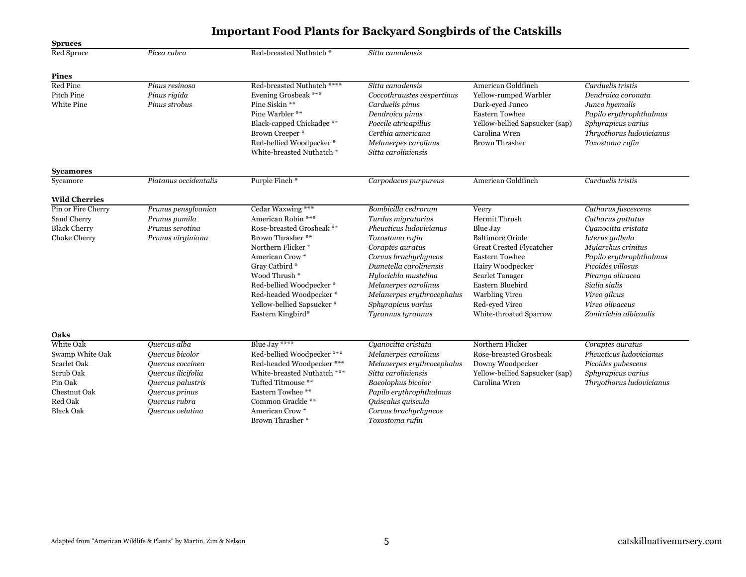| <b>Spruces</b>       |                       |                             |                            |                                |                          |
|----------------------|-----------------------|-----------------------------|----------------------------|--------------------------------|--------------------------|
| Red Spruce           | Picea rubra           | Red-breasted Nuthatch*      | Sitta canadensis           |                                |                          |
| <b>Pines</b>         |                       |                             |                            |                                |                          |
| Red Pine             | Pinus resinosa        | Red-breasted Nuthatch ****  | Sitta canadensis           | American Goldfinch             | Carduelis tristis        |
| Pitch Pine           | Pinus rigida          | Evening Grosbeak ***        | Coccothraustes vespertinus | Yellow-rumped Warbler          | Dendroica coronata       |
| White Pine           | Pinus strobus         | Pine Siskin **              | Carduelis pinus            | Dark-eyed Junco                | Junco hyemalis           |
|                      |                       | Pine Warbler **             | Dendroica pinus            | <b>Eastern Towhee</b>          | Papilo erythrophthalmus  |
|                      |                       | Black-capped Chickadee **   | Poecile atricapillus       | Yellow-bellied Sapsucker (sap) | Sphyrapicus varius       |
|                      |                       | Brown Creeper *             | Certhia americana          | Carolina Wren                  | Thryothorus ludovicianus |
|                      |                       | Red-bellied Woodpecker*     | Melanerpes carolinus       | <b>Brown Thrasher</b>          | Toxostoma rufin          |
|                      |                       | White-breasted Nuthatch *   | Sitta caroliniensis        |                                |                          |
| <b>Sycamores</b>     |                       |                             |                            |                                |                          |
| Sycamore             | Platanus occidentalis | Purple Finch*               | Carpodacus purpureus       | American Goldfinch             | Carduelis tristis        |
| <b>Wild Cherries</b> |                       |                             |                            |                                |                          |
| Pin or Fire Cherry   | Prunus pensylvanica   | Cedar Waxwing ***           | Bombicilla cedrorum        | Veery                          | Catharus fuscescens      |
| Sand Cherry          | Prunus pumila         | American Robin ***          | Turdus migratorius         | Hermit Thrush                  | Catharus guttatus        |
| <b>Black Cherry</b>  | Prunus serotina       | Rose-breasted Grosbeak **   | Pheucticus ludovicianus    | Blue Jay                       | Cyanocitta cristata      |
| Choke Cherry         | Prunus virginiana     | Brown Thrasher **           | Toxostoma rufin            | <b>Baltimore Oriole</b>        | Icterus galbula          |
|                      |                       | Northern Flicker*           | Coraptes auratus           | Great Crested Flycatcher       | Myiarchus crinitus       |
|                      |                       | American Crow*              | Corvus brachyrhyncos       | <b>Eastern Towhee</b>          | Papilo erythrophthalmus  |
|                      |                       | Gray Catbird*               | Dumetella carolinensis     | Hairy Woodpecker               | Picoides villosus        |
|                      |                       | Wood Thrush <sup>*</sup>    | Hylocichla mustelina       | <b>Scarlet Tanager</b>         | Piranga olivacea         |
|                      |                       | Red-bellied Woodpecker*     | Melanerpes carolinus       | Eastern Bluebird               | Sialia sialis            |
|                      |                       | Red-headed Woodpecker*      | Melanerpes erythrocephalus | <b>Warbling Vireo</b>          | Vireo gilvus             |
|                      |                       | Yellow-bellied Sapsucker*   | Sphyrapicus varius         | Red-eyed Vireo                 | Vireo olivaceus          |
|                      |                       | Eastern Kingbird*           | Tyrannus tyrannus          | White-throated Sparrow         | Zonitrichia albicaulis   |
| Oaks                 |                       |                             |                            |                                |                          |
| White Oak            | Quercus alba          | Blue Jay ****               | Cyanocitta cristata        | Northern Flicker               | Coraptes auratus         |
| Swamp White Oak      | Ouercus bicolor       | Red-bellied Woodpecker ***  | Melanerpes carolinus       | Rose-breasted Grosbeak         | Pheucticus ludovicianus  |
| <b>Scarlet Oak</b>   | Ouercus coccinea      | Red-headed Woodpecker ***   | Melanerpes erythrocephalus | Downy Woodpecker               | Picoides pubescens       |
| Scrub Oak            | Quercus ilicifolia    | White-breasted Nuthatch *** | Sitta caroliniensis        | Yellow-bellied Sapsucker (sap) | Sphyrapicus varius       |
| Pin Oak              | Quercus palustris     | Tufted Titmouse **          | Baeolophus bicolor         | Carolina Wren                  | Thryothorus ludovicianus |
| Chestnut Oak         | Quercus prinus        | Eastern Towhee **           | Papilo erythrophthalmus    |                                |                          |
| Red Oak              | Quercus rubra         | Common Grackle**            | Quiscalus quiscula         |                                |                          |
| <b>Black Oak</b>     | Ouercus velutina      | American Crow*              | Corvus brachyrhyncos       |                                |                          |
|                      |                       | Brown Thrasher *            | Toxostoma rufin            |                                |                          |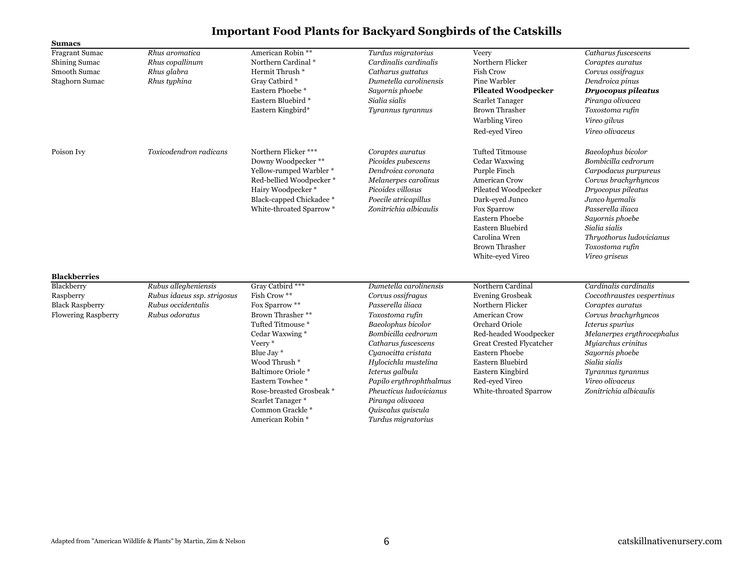| <b>Sumacs</b>                                                                                          |                                                                                             |                                                                                                                                                                                                                                                                                          |                                                                                                                                                                                                                                                                                                                                                 |                                                                                                                                                                                                                                                                              |                                                                                                                                                                                                                                                                              |
|--------------------------------------------------------------------------------------------------------|---------------------------------------------------------------------------------------------|------------------------------------------------------------------------------------------------------------------------------------------------------------------------------------------------------------------------------------------------------------------------------------------|-------------------------------------------------------------------------------------------------------------------------------------------------------------------------------------------------------------------------------------------------------------------------------------------------------------------------------------------------|------------------------------------------------------------------------------------------------------------------------------------------------------------------------------------------------------------------------------------------------------------------------------|------------------------------------------------------------------------------------------------------------------------------------------------------------------------------------------------------------------------------------------------------------------------------|
| <b>Fragrant Sumac</b><br>Shining Sumac<br>Smooth Sumac<br>Staghorn Sumac                               | Rhus aromatica<br>Rhus copallinum<br>Rhus glabra<br>Rhus typhina                            | American Robin <sup>**</sup><br>Northern Cardinal *<br>Hermit Thrush *<br>Gray Catbird *<br>Eastern Phoebe <sup>*</sup><br>Eastern Bluebird *<br>Eastern Kingbird*                                                                                                                       | Turdus migratorius<br>Cardinalis cardinalis<br>Catharus guttatus<br>Dumetella carolinensis<br>Sayornis phoebe<br>Sialia sialis<br>Tyrannus tyrannus                                                                                                                                                                                             | Veery<br>Northern Flicker<br><b>Fish Crow</b><br>Pine Warbler<br><b>Pileated Woodpecker</b><br>Scarlet Tanager<br><b>Brown Thrasher</b><br><b>Warbling Vireo</b><br>Red-eyed Vireo                                                                                           | Catharus fuscescens<br>Coraptes auratus<br>Corvus ossifragus<br>Dendroica pinus<br>Dryocopus pileatus<br>Piranga olivacea<br>Toxostoma rufin<br>Vireo gilvus<br>Vireo olivaceus                                                                                              |
| Poison Ivy                                                                                             | Toxicodendron radicans                                                                      | Northern Flicker ***<br>Downy Woodpecker**<br>Yellow-rumped Warbler*<br>Red-bellied Woodpecker*<br>Hairy Woodpecker*<br>Black-capped Chickadee*<br>White-throated Sparrow *                                                                                                              | Coraptes auratus<br>Picoides pubescens<br>Dendroica coronata<br>Melanerpes carolinus<br>Picoides villosus<br>Poecile atricapillus<br>Zonitrichia albicaulis                                                                                                                                                                                     | <b>Tufted Titmouse</b><br>Cedar Waxwing<br>Purple Finch<br>American Crow<br>Pileated Woodpecker<br>Dark-eyed Junco<br>Fox Sparrow<br><b>Eastern Phoebe</b><br>Eastern Bluebird<br>Carolina Wren<br><b>Brown Thrasher</b><br>White-eyed Vireo                                 | Baeolophus bicolor<br>Bombicilla cedrorum<br>Carpodacus purpureus<br>Corvus brachyrhyncos<br>Dryocopus pileatus<br>Junco hyemalis<br>Passerella iliaca<br>Sayornis phoebe<br>Sialia sialis<br>Thryothorus ludovicianus<br>Toxostoma rufin<br>Vireo griseus                   |
| <b>Blackberries</b><br>Blackberry<br>Raspberry<br><b>Black Raspberry</b><br><b>Flowering Raspberry</b> | Rubus allegheniensis<br>Rubus idaeus ssp. strigosus<br>Rubus occidentalis<br>Rubus odoratus | Gray Catbird ***<br>Fish Crow **<br>Fox Sparrow **<br>Brown Thrasher **<br>Tufted Titmouse*<br>Cedar Waxwing *<br>Veery*<br>Blue Jay *<br>Wood Thrush *<br>Baltimore Oriole *<br>Eastern Towhee*<br>Rose-breasted Grosbeak *<br>Scarlet Tanager *<br>Common Grackle*<br>American Robin * | Dumetella carolinensis<br>Corvus ossifragus<br>Passerella iliaca<br>Toxostoma rufin<br>Baeolophus bicolor<br>Bombicilla cedrorum<br>Catharus fuscescens<br>Cyanocitta cristata<br>Hylocichla mustelina<br>Icterus galbula<br>Papilo erythrophthalmus<br>Pheucticus ludovicianus<br>Piranga olivacea<br>Quiscalus quiscula<br>Turdus migratorius | Northern Cardinal<br><b>Evening Grosbeak</b><br>Northern Flicker<br><b>American Crow</b><br>Orchard Oriole<br>Red-headed Woodpecker<br>Great Crested Flycatcher<br><b>Eastern Phoebe</b><br>Eastern Bluebird<br>Eastern Kingbird<br>Red-eyed Vireo<br>White-throated Sparrow | Cardinalis cardinalis<br>Coccothraustes vespertinus<br>Coraptes auratus<br>Corvus brachyrhyncos<br>Icterus spurius<br>Melanerpes erythrocephalus<br>Myiarchus crinitus<br>Sayornis phoebe<br>Sialia sialis<br>Tyrannus tyrannus<br>Vireo olivaceus<br>Zonitrichia albicaulis |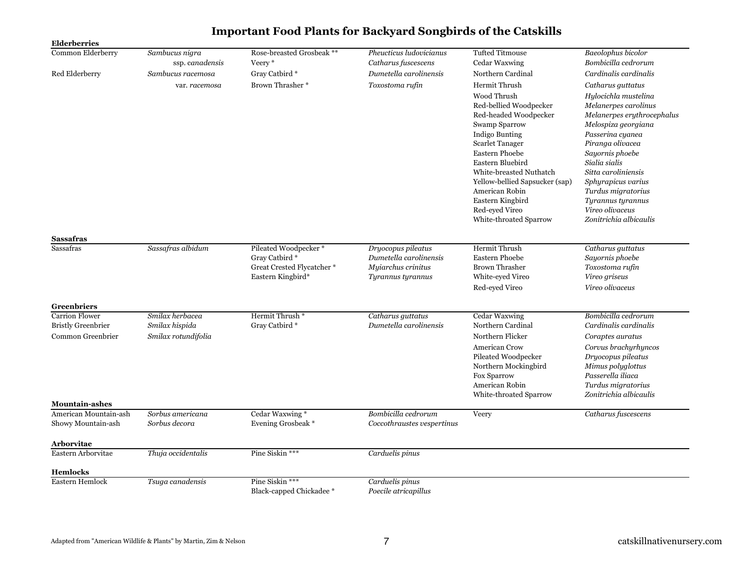| <b>Elderberries</b>       |                     |                            |                            |                                          |                                        |
|---------------------------|---------------------|----------------------------|----------------------------|------------------------------------------|----------------------------------------|
| Common Elderberry         | Sambucus nigra      | Rose-breasted Grosbeak **  | Pheucticus ludovicianus    | <b>Tufted Titmouse</b>                   | Baeolophus bicolor                     |
|                           | ssp. canadensis     | Veery*                     | Catharus fuscescens        | Cedar Waxwing                            | Bombicilla cedrorum                    |
| Red Elderberry            | Sambucus racemosa   | Gray Catbird *             | Dumetella carolinensis     | Northern Cardinal                        | Cardinalis cardinalis                  |
|                           | var. racemosa       | Brown Thrasher *           | Toxostoma rufin            | Hermit Thrush                            | Catharus guttatus                      |
|                           |                     |                            |                            | Wood Thrush                              | Hylocichla mustelina                   |
|                           |                     |                            |                            | Red-bellied Woodpecker                   | Melanerpes carolinus                   |
|                           |                     |                            |                            | Red-headed Woodpecker                    | Melanerpes erythrocephalus             |
|                           |                     |                            |                            | Swamp Sparrow                            | Melospiza georgiana                    |
|                           |                     |                            |                            | Indigo Bunting<br><b>Scarlet Tanager</b> | Passerina cyanea<br>Piranga olivacea   |
|                           |                     |                            |                            | Eastern Phoebe                           | Sayornis phoebe                        |
|                           |                     |                            |                            | Eastern Bluebird                         | Sialia sialis                          |
|                           |                     |                            |                            | White-breasted Nuthatch                  | Sitta caroliniensis                    |
|                           |                     |                            |                            | Yellow-bellied Sapsucker (sap)           | Sphyrapicus varius                     |
|                           |                     |                            |                            | American Robin                           | Turdus migratorius                     |
|                           |                     |                            |                            | Eastern Kingbird                         | Tyrannus tyrannus                      |
|                           |                     |                            |                            | Red-eyed Vireo                           | Vireo olivaceus                        |
|                           |                     |                            |                            | White-throated Sparrow                   | Zonitrichia albicaulis                 |
| Sassafras                 |                     |                            |                            |                                          |                                        |
| Sassafras                 | Sassafras albidum   | Pileated Woodpecker*       | Dryocopus pileatus         | Hermit Thrush                            | Catharus guttatus                      |
|                           |                     | Gray Catbird *             | Dumetella carolinensis     | <b>Eastern Phoebe</b>                    | Sayornis phoebe                        |
|                           |                     | Great Crested Flycatcher * | Myiarchus crinitus         | <b>Brown Thrasher</b>                    | Toxostoma rufin                        |
|                           |                     | Eastern Kingbird*          | Tyrannus tyrannus          | White-eyed Vireo                         | Vireo griseus                          |
|                           |                     |                            |                            | Red-eyed Vireo                           | Vireo olivaceus                        |
| <b>Greenbriers</b>        |                     |                            |                            |                                          |                                        |
| <b>Carrion Flower</b>     | Smilax herbacea     | Hermit Thrush <sup>*</sup> | Catharus guttatus          | Cedar Waxwing                            | Bombicilla cedrorum                    |
| <b>Bristly Greenbrier</b> | Smilax hispida      | Gray Catbird *             | Dumetella carolinensis     | Northern Cardinal                        | Cardinalis cardinalis                  |
| Common Greenbrier         | Smilax rotundifolia |                            |                            | Northern Flicker                         | Coraptes auratus                       |
|                           |                     |                            |                            | <b>American Crow</b>                     | Corvus brachyrhyncos                   |
|                           |                     |                            |                            | Pileated Woodpecker                      | Dryocopus pileatus                     |
|                           |                     |                            |                            | Northern Mockingbird                     | Mimus polyglottus<br>Passerella iliaca |
|                           |                     |                            |                            | <b>Fox Sparrow</b><br>American Robin     | Turdus migratorius                     |
|                           |                     |                            |                            | White-throated Sparrow                   | Zonitrichia albicaulis                 |
| <b>Mountain-ashes</b>     |                     |                            |                            |                                          |                                        |
| American Mountain-ash     | Sorbus americana    | Cedar Waxwing*             | Bombicilla cedrorum        | Veery                                    | Catharus fuscescens                    |
| Showy Mountain-ash        | Sorbus decora       | Evening Grosbeak *         | Coccothraustes vespertinus |                                          |                                        |
| Arborvitae                |                     |                            |                            |                                          |                                        |
| Eastern Arborvitae        | Thuja occidentalis  | Pine Siskin ***            | Carduelis pinus            |                                          |                                        |
|                           |                     |                            |                            |                                          |                                        |
| <b>Hemlocks</b>           |                     |                            |                            |                                          |                                        |
| Eastern Hemlock           | Tsuga canadensis    | Pine Siskin ***            | Carduelis pinus            |                                          |                                        |
|                           |                     | Black-capped Chickadee *   | Poecile atricapillus       |                                          |                                        |